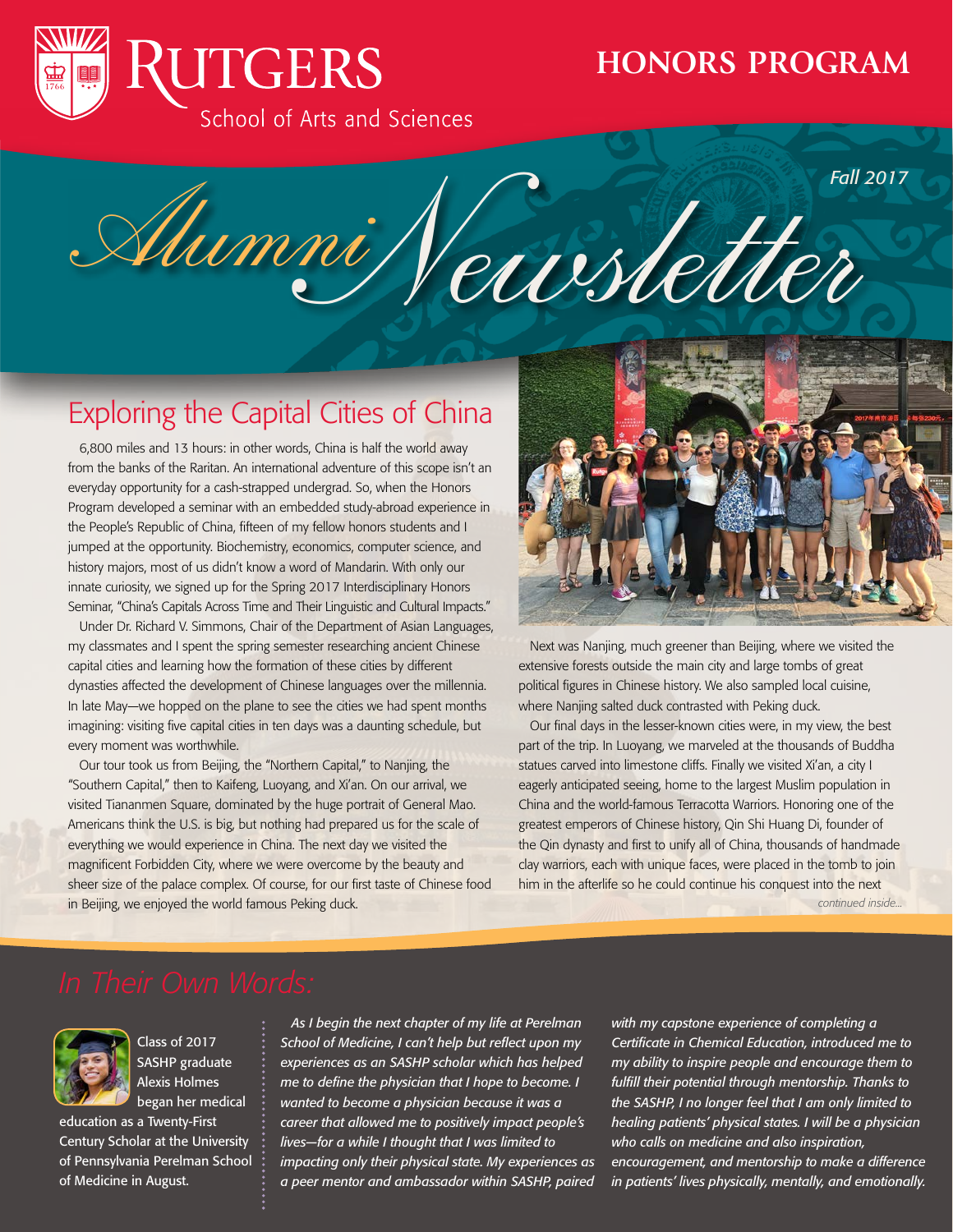

## **HONORS PROGRAM**

Alumni Veussetter *Fall 2017*

# Exploring the Capital Cities of China

6,800 miles and 13 hours: in other words, China is half the world away from the banks of the Raritan. An international adventure of this scope isn't an everyday opportunity for a cash-strapped undergrad. So, when the Honors Program developed a seminar with an embedded study-abroad experience in the People's Republic of China, fifteen of my fellow honors students and I jumped at the opportunity. Biochemistry, economics, computer science, and history majors, most of us didn't know a word of Mandarin. With only our innate curiosity, we signed up for the Spring 2017 Interdisciplinary Honors Seminar, "China's Capitals Across Time and Their Linguistic and Cultural Impacts."

Under Dr. Richard V. Simmons, Chair of the Department of Asian Languages, my classmates and I spent the spring semester researching ancient Chinese capital cities and learning how the formation of these cities by different dynasties affected the development of Chinese languages over the millennia. In late May—we hopped on the plane to see the cities we had spent months imagining: visiting five capital cities in ten days was a daunting schedule, but every moment was worthwhile.

Our tour took us from Beijing, the "Northern Capital," to Nanjing, the "Southern Capital," then to Kaifeng, Luoyang, and Xi'an. On our arrival, we visited Tiananmen Square, dominated by the huge portrait of General Mao. Americans think the U.S. is big, but nothing had prepared us for the scale of everything we would experience in China. The next day we visited the magnificent Forbidden City, where we were overcome by the beauty and sheer size of the palace complex. Of course, for our first taste of Chinese food in Beijing, we enjoyed the world famous Peking duck.



Next was Nanjing, much greener than Beijing, where we visited the extensive forests outside the main city and large tombs of great political figures in Chinese history. We also sampled local cuisine, where Nanjing salted duck contrasted with Peking duck.

Our final days in the lesser-known cities were, in my view, the best part of the trip. In Luoyang, we marveled at the thousands of Buddha statues carved into limestone cliffs. Finally we visited Xi'an, a city I eagerly anticipated seeing, home to the largest Muslim population in China and the world-famous Terracotta Warriors. Honoring one of the greatest emperors of Chinese history, Qin Shi Huang Di, founder of the Qin dynasty and first to unify all of China, thousands of handmade clay warriors, each with unique faces, were placed in the tomb to join him in the afterlife so he could continue his conquest into the next

*continued inside...*



Class of 2017 SASHP graduate Alexis Holmes began her medical

education as a Twenty-First Century Scholar at the University of Pennsylvania Perelman School of Medicine in August.

*As I begin the next chapter of my life at Perelman School of Medicine, I can't help but reflect upon my experiences as an SASHP scholar which has helped me to define the physician that I hope to become. I wanted to become a physician because it was a career that allowed me to positively impact people's lives—for a while I thought that I was limited to impacting only their physical state. My experiences as a peer mentor and ambassador within SASHP, paired* 

*with my capstone experience of completing a Certificate in Chemical Education, introduced me to my ability to inspire people and encourage them to fulfill their potential through mentorship. Thanks to the SASHP, I no longer feel that I am only limited to healing patients' physical states. I will be a physician who calls on medicine and also inspiration, encouragement, and mentorship to make a difference in patients' lives physically, mentally, and emotionally.*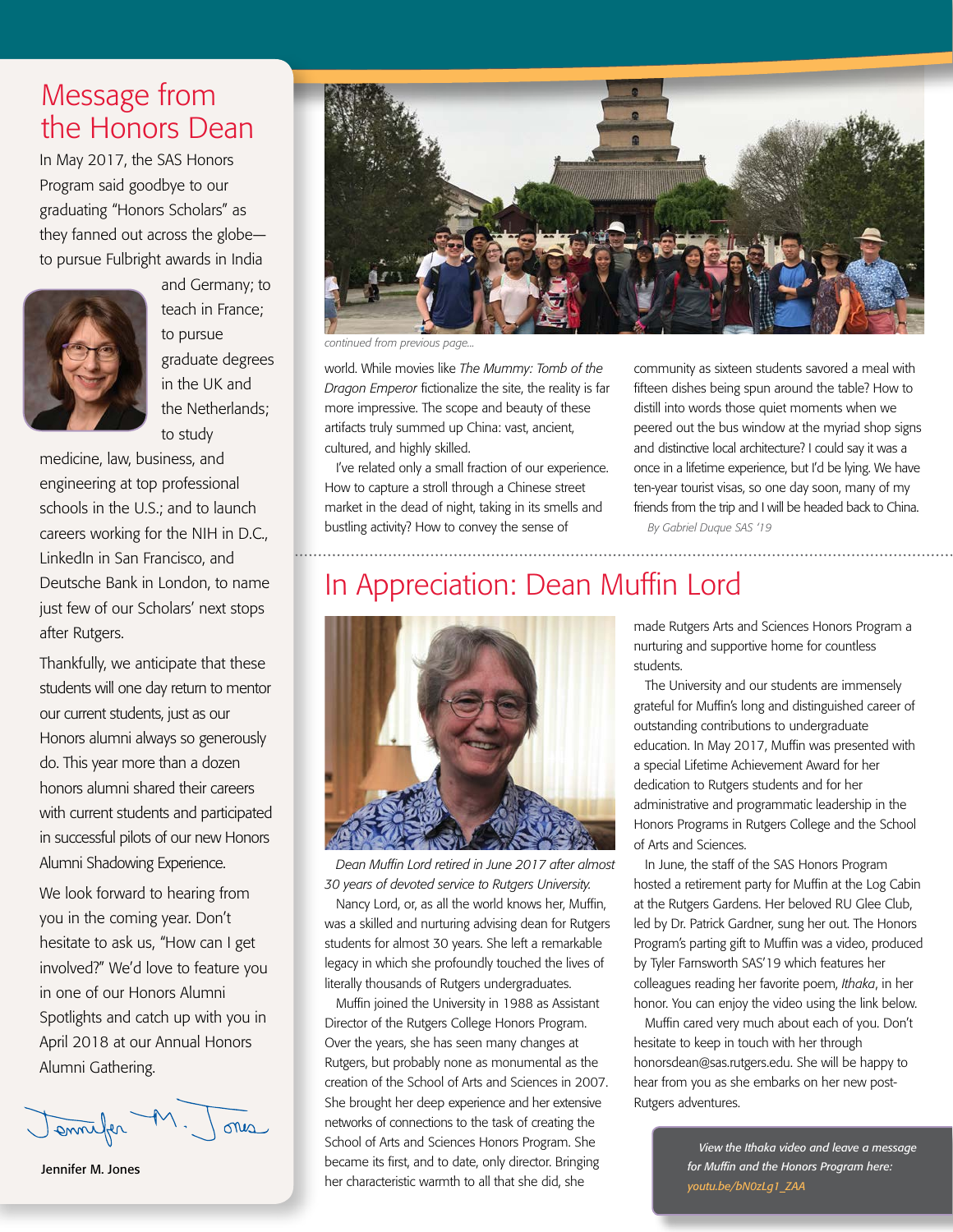## Message from the Honors Dean

In May 2017, the SAS Honors Program said goodbye to our graduating "Honors Scholars" as they fanned out across the globe to pursue Fulbright awards in India



and Germany; to teach in France; to pursue graduate degrees in the UK and the Netherlands; to study

medicine, law, business, and engineering at top professional schools in the U.S.; and to launch careers working for the NIH in D.C., LinkedIn in San Francisco, and Deutsche Bank in London, to name just few of our Scholars' next stops after Rutgers.

Thankfully, we anticipate that these students will one day return to mentor our current students, just as our Honors alumni always so generously do. This year more than a dozen honors alumni shared their careers with current students and participated in successful pilots of our new Honors Alumni Shadowing Experience.

We look forward to hearing from you in the coming year. Don't hesitate to ask us, "How can I get involved?" We'd love to feature you in one of our Honors Alumni Spotlights and catch up with you in April 2018 at our Annual Honors Alumni Gathering.

enneller M one

Jennifer M. Jones



*continued from previous page...*

world. While movies like *The Mummy: Tomb of the Dragon Emperor* fictionalize the site, the reality is far more impressive. The scope and beauty of these artifacts truly summed up China: vast, ancient, cultured, and highly skilled.

I've related only a small fraction of our experience. How to capture a stroll through a Chinese street market in the dead of night, taking in its smells and bustling activity? How to convey the sense of

community as sixteen students savored a meal with fifteen dishes being spun around the table? How to distill into words those quiet moments when we peered out the bus window at the myriad shop signs and distinctive local architecture? I could say it was a once in a lifetime experience, but I'd be lying. We have ten-year tourist visas, so one day soon, many of my friends from the trip and I will be headed back to China. *By Gabriel Duque SAS '19*

# In Appreciation: Dean Muffin Lord



*Dean Muffin Lord retired in June 2017 after almost 30 years of devoted service to Rutgers University.*

Nancy Lord, or, as all the world knows her, Muffin, was a skilled and nurturing advising dean for Rutgers students for almost 30 years. She left a remarkable legacy in which she profoundly touched the lives of literally thousands of Rutgers undergraduates.

Muffin joined the University in 1988 as Assistant Director of the Rutgers College Honors Program. Over the years, she has seen many changes at Rutgers, but probably none as monumental as the creation of the School of Arts and Sciences in 2007. She brought her deep experience and her extensive networks of connections to the task of creating the School of Arts and Sciences Honors Program. She became its first, and to date, only director. Bringing her characteristic warmth to all that she did, she

made Rutgers Arts and Sciences Honors Program a nurturing and supportive home for countless students.

The University and our students are immensely grateful for Muffin's long and distinguished career of outstanding contributions to undergraduate education. In May 2017, Muffin was presented with a special Lifetime Achievement Award for her dedication to Rutgers students and for her administrative and programmatic leadership in the Honors Programs in Rutgers College and the School of Arts and Sciences.

In June, the staff of the SAS Honors Program hosted a retirement party for Muffin at the Log Cabin at the Rutgers Gardens. Her beloved RU Glee Club, led by Dr. Patrick Gardner, sung her out. The Honors Program's parting gift to Muffin was a video, produced by Tyler Farnsworth SAS'19 which features her colleagues reading her favorite poem, *Ithaka*, in her honor. You can enjoy the video using the link below.

Muffin cared very much about each of you. Don't hesitate to keep in touch with her through honorsdean@sas.rutgers.edu. She will be happy to hear from you as she embarks on her new post-Rutgers adventures.

> *View the Ithaka video and leave a message for Muffin and the Honors Program here: youtu.be/bN0zLg1\_ZAA*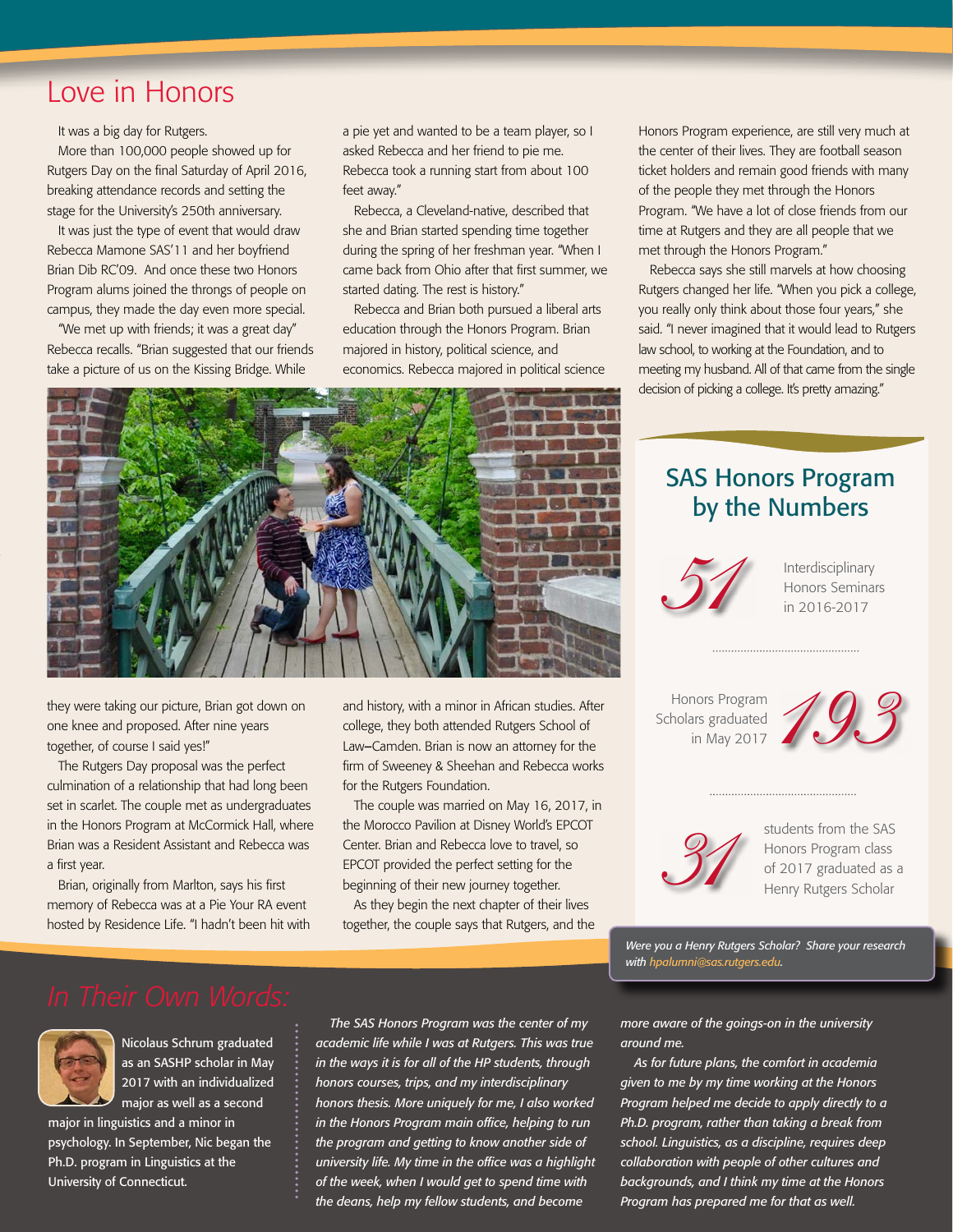## Love in Honors

It was a big day for Rutgers.

More than 100,000 people showed up for Rutgers Day on the final Saturday of April 2016, breaking attendance records and setting the stage for the University's 250th anniversary.

It was just the type of event that would draw Rebecca Mamone SAS'11 and her boyfriend Brian Dib RC'09. And once these two Honors Program alums joined the throngs of people on campus, they made the day even more special.

"We met up with friends; it was a great day" Rebecca recalls. "Brian suggested that our friends take a picture of us on the Kissing Bridge. While

a pie yet and wanted to be a team player, so I asked Rebecca and her friend to pie me. Rebecca took a running start from about 100 feet away."

Rebecca, a Cleveland-native, described that she and Brian started spending time together during the spring of her freshman year. "When I came back from Ohio after that first summer, we started dating. The rest is history."

Rebecca and Brian both pursued a liberal arts education through the Honors Program. Brian majored in history, political science, and economics. Rebecca majored in political science Honors Program experience, are still very much at the center of their lives. They are football season ticket holders and remain good friends with many of the people they met through the Honors Program. "We have a lot of close friends from our time at Rutgers and they are all people that we met through the Honors Program."

Rebecca says she still marvels at how choosing Rutgers changed her life. "When you pick a college, you really only think about those four years," she said. "I never imagined that it would lead to Rutgers law school, to working at the Foundation, and to meeting my husband. All of that came from the single decision of picking a college. It's pretty amazing."



they were taking our picture, Brian got down on one knee and proposed. After nine years together, of course I said yes!"

The Rutgers Day proposal was the perfect culmination of a relationship that had long been set in scarlet. The couple met as undergraduates in the Honors Program at McCormick Hall, where Brian was a Resident Assistant and Rebecca was a first year.

Brian, originally from Marlton, says his first memory of Rebecca was at a Pie Your RA event hosted by Residence Life. "I hadn't been hit with and history, with a minor in African studies. After college, they both attended Rutgers School of Law*–*Camden. Brian is now an attorney for the firm of Sweeney & Sheehan and Rebecca works for the Rutgers Foundation.

The couple was married on May 16, 2017, in the Morocco Pavilion at Disney World's EPCOT Center. Brian and Rebecca love to travel, so EPCOT provided the perfect setting for the beginning of their new journey together.

As they begin the next chapter of their lives together, the couple says that Rutgers, and the

## SAS Honors Program by the Numbers



Interdisciplinary Honors Seminars in 2016-2017

Honors Program Scholars graduated in May 2017





students from the SAS Honors Program class of 2017 graduated as a Henry Rutgers Scholar

*Were you a Henry Rutgers Scholar? Share your research with hpalumni@sas.rutgers.edu.*



Nicolaus Schrum graduated as an SASHP scholar in May 2017 with an individualized major as well as a second

major in linguistics and a minor in psychology. In September, Nic began the Ph.D. program in Linguistics at the University of Connecticut.

*The SAS Honors Program was the center of my academic life while I was at Rutgers. This was true in the ways it is for all of the HP students, through honors courses, trips, and my interdisciplinary honors thesis. More uniquely for me, I also worked in the Honors Program main office, helping to run the program and getting to know another side of university life. My time in the office was a highlight of the week, when I would get to spend time with the deans, help my fellow students, and become* 

*more aware of the goings-on in the university around me.*

*As for future plans, the comfort in academia given to me by my time working at the Honors Program helped me decide to apply directly to a Ph.D. program, rather than taking a break from school. Linguistics, as a discipline, requires deep collaboration with people of other cultures and backgrounds, and I think my time at the Honors Program has prepared me for that as well.*